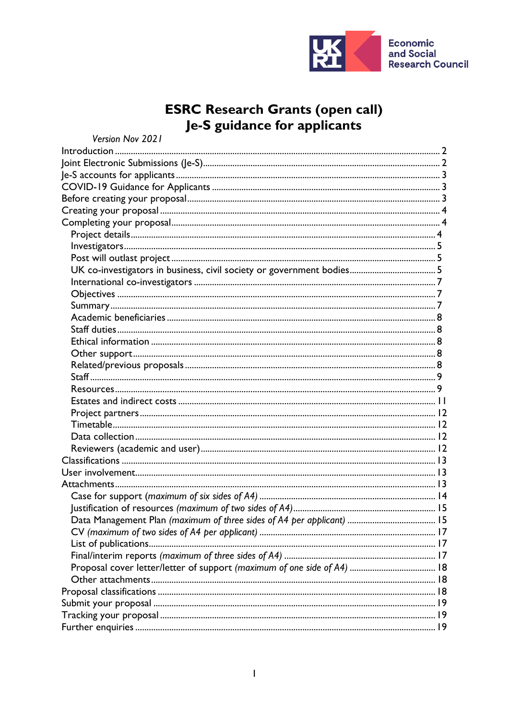

# **ESRC Research Grants (open call)**<br>Je-S guidance for applicants

| Version Nov 2021 |  |
|------------------|--|
|                  |  |
|                  |  |
|                  |  |
|                  |  |
|                  |  |
|                  |  |
|                  |  |
|                  |  |
|                  |  |
|                  |  |
|                  |  |
|                  |  |
|                  |  |
|                  |  |
|                  |  |
|                  |  |
|                  |  |
|                  |  |
|                  |  |
|                  |  |
|                  |  |
|                  |  |
|                  |  |
|                  |  |
|                  |  |
|                  |  |
|                  |  |
|                  |  |
|                  |  |
|                  |  |
|                  |  |
|                  |  |
|                  |  |
|                  |  |
|                  |  |
|                  |  |
|                  |  |
|                  |  |
|                  |  |
|                  |  |
|                  |  |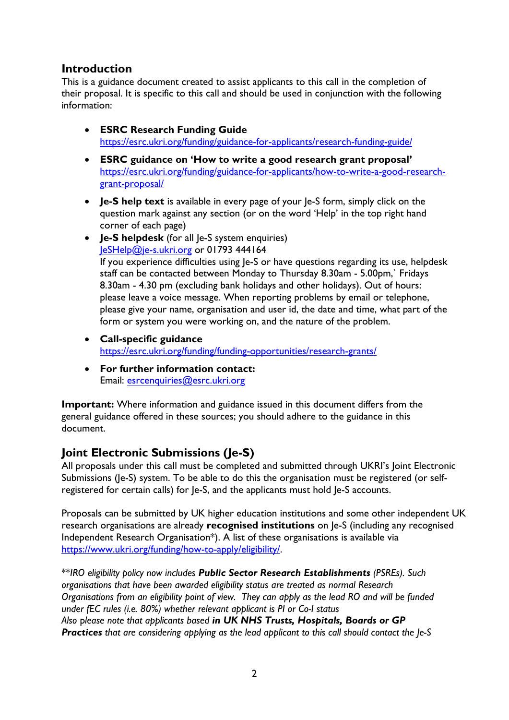# <span id="page-1-0"></span>**Introduction**

This is a guidance document created to assist applicants to this call in the completion of their proposal. It is specific to this call and should be used in conjunction with the following information:

- **ESRC Research Funding Guide** <https://esrc.ukri.org/funding/guidance-for-applicants/research-funding-guide/>
- **ESRC guidance on 'How to write a good research grant proposal'** [https://esrc.ukri.org/funding/guidance-for-applicants/how-to-write-a-good-research](https://esrc.ukri.org/funding/guidance-for-applicants/how-to-write-a-good-research-grant-proposal/)[grant-proposal/](https://esrc.ukri.org/funding/guidance-for-applicants/how-to-write-a-good-research-grant-proposal/)
- **Je-S help text** is available in every page of your le-S form, simply click on the question mark against any section (or on the word 'Help' in the top right hand corner of each page)
- **Je-S helpdesk** (for all Je-S system enquiries) [JeSHelp@je-s.ukri.org](mailto:JeSHelp@je-s.ukri.org) or 01793 444164 If you experience difficulties using Je-S or have questions regarding its use, helpdesk staff can be contacted between Monday to Thursday 8.30am - 5.00pm,` Fridays 8.30am - 4.30 pm (excluding bank holidays and other holidays). Out of hours: please leave a voice message. When reporting problems by email or telephone, please give your name, organisation and user id, the date and time, what part of the form or system you were working on, and the nature of the problem.
- **Call-specific guidance** <https://esrc.ukri.org/funding/funding-opportunities/research-grants/>
- **For further information contact:** Email: [esrcenquiries@esrc.ukri.org](mailto:esrcenquiries@esrc.ukri.org)

**Important:** Where information and guidance issued in this document differs from the general guidance offered in these sources; you should adhere to the guidance in this document.

# <span id="page-1-1"></span>**Joint Electronic Submissions (Je-S)**

All proposals under this call must be completed and submitted through UKRI's Joint Electronic Submissions (Je-S) system. To be able to do this the organisation must be registered (or selfregistered for certain calls) for Je-S, and the applicants must hold Je-S accounts.

Proposals can be submitted by UK higher education institutions and some other independent UK research organisations are already **recognised institutions** on Je-S (including any recognised Independent Research Organisation\*). A list of these organisations is available via [https://www.ukri.org/funding/how-to-apply/eligibility/.](https://www.ukri.org/funding/how-to-apply/eligibility/)

\*\**IRO eligibility policy now includes Public Sector Research Establishments (PSREs). Such organisations that have been awarded eligibility status are treated as normal Research Organisations from an eligibility point of view. They can apply as the lead RO and will be funded under fEC rules (i.e. 80%) whether relevant applicant is PI or Co-I status Also* p*lease note that applicants based in UK NHS Trusts, Hospitals, Boards or GP Practices that are considering applying as the lead applicant to this call should contact the Je-S*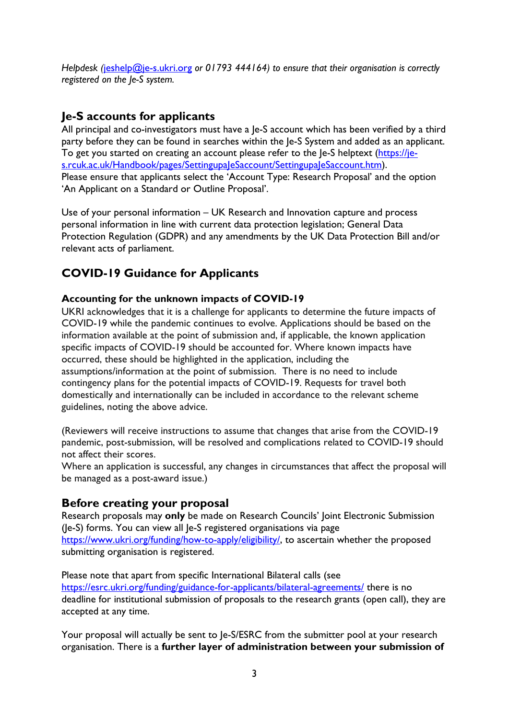*Helpdesk (*[jeshelp@je-s.ukri.org](mailto:jeshelp@je-s.ukri.org) *or 01793 444164) to ensure that their organisation is correctly registered on the Je-S system.*

# <span id="page-2-0"></span>**Je-S accounts for applicants**

All principal and co-investigators must have a Je-S account which has been verified by a third party before they can be found in searches within the Je-S System and added as an applicant. To get you started on creating an account please refer to the Je-S helptext [\(https://je](https://je-s.rcuk.ac.uk/Handbook/pages/SettingupaJeSaccount/SettingupaJeSaccount.htm)[s.rcuk.ac.uk/Handbook/pages/SettingupaJeSaccount/SettingupaJeSaccount.htm\)](https://je-s.rcuk.ac.uk/Handbook/pages/SettingupaJeSaccount/SettingupaJeSaccount.htm). Please ensure that applicants select the 'Account Type: Research Proposal' and the option 'An Applicant on a Standard or Outline Proposal'.

Use of your personal information – UK Research and Innovation capture and process personal information in line with current data protection legislation; General Data Protection Regulation (GDPR) and any amendments by the UK Data Protection Bill and/or relevant acts of parliament.

# <span id="page-2-1"></span>**COVID-19 Guidance for Applicants**

## **Accounting for the unknown impacts of COVID-19**

UKRI acknowledges that it is a challenge for applicants to determine the future impacts of COVID-19 while the pandemic continues to evolve. Applications should be based on the information available at the point of submission and, if applicable, the known application specific impacts of COVID-19 should be accounted for. Where known impacts have occurred, these should be highlighted in the application, including the assumptions/information at the point of submission. There is no need to include contingency plans for the potential impacts of COVID-19. Requests for travel both domestically and internationally can be included in accordance to the relevant scheme guidelines, noting the above advice.

(Reviewers will receive instructions to assume that changes that arise from the COVID-19 pandemic, post-submission, will be resolved and complications related to COVID-19 should not affect their scores.

Where an application is successful, any changes in circumstances that affect the proposal will be managed as a post-award issue.)

# <span id="page-2-2"></span>**Before creating your proposal**

Research proposals may **only** be made on Research Councils' Joint Electronic Submission (Je-S) forms. You can view all Je-S registered organisations via page [https://www.ukri.org/funding/how-to-apply/eligibility/,](https://www.ukri.org/funding/how-to-apply/eligibility/) to ascertain whether the proposed submitting organisation is registered.

Please note that apart from specific International Bilateral calls (see <https://esrc.ukri.org/funding/guidance-for-applicants/bilateral-agreements/> there is no deadline for institutional submission of proposals to the research grants (open call), they are accepted at any time.

Your proposal will actually be sent to Je-S/ESRC from the submitter pool at your research organisation. There is a **further layer of administration between your submission of**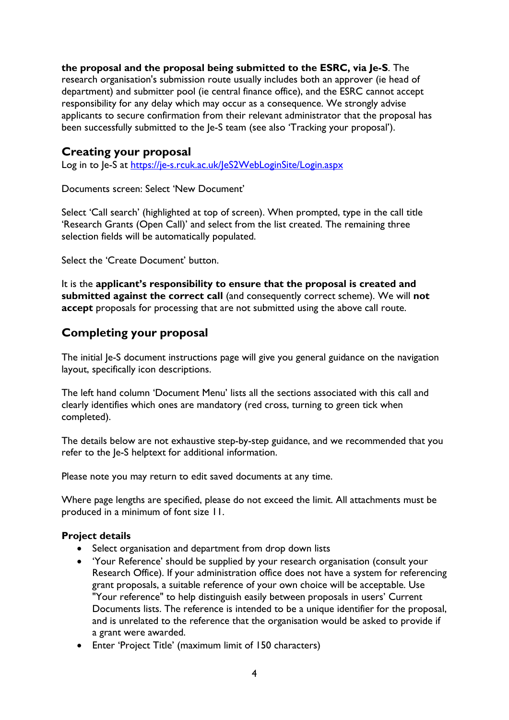## **the proposal and the proposal being submitted to the ESRC, via Je-S**. The

research organisation's submission route usually includes both an approver (ie head of department) and submitter pool (ie central finance office), and the ESRC cannot accept responsibility for any delay which may occur as a consequence. We strongly advise applicants to secure confirmation from their relevant administrator that the proposal has been successfully submitted to the Je-S team (see also 'Tracking your proposal').

## <span id="page-3-0"></span>**Creating your proposal**

Log in to Je-S at<https://je-s.rcuk.ac.uk/JeS2WebLoginSite/Login.aspx>

Documents screen: Select 'New Document'

Select 'Call search' (highlighted at top of screen). When prompted, type in the call title 'Research Grants (Open Call)' and select from the list created. The remaining three selection fields will be automatically populated.

Select the 'Create Document' button.

It is the **applicant's responsibility to ensure that the proposal is created and submitted against the correct call** (and consequently correct scheme). We will **not accept** proposals for processing that are not submitted using the above call route.

# <span id="page-3-1"></span>**Completing your proposal**

The initial Je-S document instructions page will give you general guidance on the navigation layout, specifically icon descriptions.

The left hand column 'Document Menu' lists all the sections associated with this call and clearly identifies which ones are mandatory (red cross, turning to green tick when completed).

The details below are not exhaustive step-by-step guidance, and we recommended that you refer to the Je-S helptext for additional information.

Please note you may return to edit saved documents at any time.

Where page lengths are specified, please do not exceed the limit. All attachments must be produced in a minimum of font size 11.

## <span id="page-3-2"></span>**Project details**

- Select organisation and department from drop down lists
- 'Your Reference' should be supplied by your research organisation (consult your Research Office). If your administration office does not have a system for referencing grant proposals, a suitable reference of your own choice will be acceptable. Use "Your reference" to help distinguish easily between proposals in users' Current Documents lists. The reference is intended to be a unique identifier for the proposal, and is unrelated to the reference that the organisation would be asked to provide if a grant were awarded.
- Enter 'Project Title' (maximum limit of 150 characters)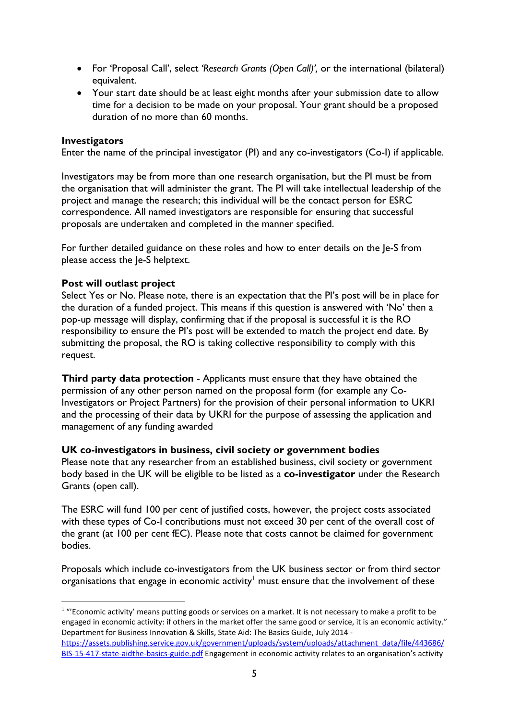- For 'Proposal Call', select *'Research Grants (Open Call)',* or the international (bilateral) equivalent.
- Your start date should be at least eight months after your submission date to allow time for a decision to be made on your proposal. Your grant should be a proposed duration of no more than 60 months.

### <span id="page-4-0"></span>**Investigators**

Enter the name of the principal investigator (PI) and any co-investigators (Co-I) if applicable.

Investigators may be from more than one research organisation, but the PI must be from the organisation that will administer the grant. The PI will take intellectual leadership of the project and manage the research; this individual will be the contact person for ESRC correspondence. All named investigators are responsible for ensuring that successful proposals are undertaken and completed in the manner specified.

For further detailed guidance on these roles and how to enter details on the le-S from please access the Je-S helptext.

### <span id="page-4-1"></span>**Post will outlast project**

Select Yes or No. Please note, there is an expectation that the PI's post will be in place for the duration of a funded project. This means if this question is answered with 'No' then a pop-up message will display, confirming that if the proposal is successful it is the RO responsibility to ensure the PI's post will be extended to match the project end date. By submitting the proposal, the RO is taking collective responsibility to comply with this request.

**Third party data protection** - Applicants must ensure that they have obtained the permission of any other person named on the proposal form (for example any Co-Investigators or Project Partners) for the provision of their personal information to UKRI and the processing of their data by UKRI for the purpose of assessing the application and management of any funding awarded

#### <span id="page-4-2"></span>**UK co-investigators in business, civil society or government bodies**

Please note that any researcher from an established business, civil society or government body based in the UK will be eligible to be listed as a **co-investigator** under the Research Grants (open call).

The ESRC will fund 100 per cent of justified costs, however, the project costs associated with these types of Co-I contributions must not exceed 30 per cent of the overall cost of the grant (at 100 per cent fEC). Please note that costs cannot be claimed for government bodies.

Proposals which include co-investigators from the UK business sector or from third sector organisations that engage in economic activity<sup>[1](#page-4-3)</sup> must ensure that the involvement of these

<span id="page-4-3"></span><sup>&</sup>lt;sup>1</sup> "'Economic activity' means putting goods or services on a market. It is not necessary to make a profit to be engaged in economic activity: if others in the market offer the same good or service, it is an economic activity." Department for Business Innovation & Skills, State Aid: The Basics Guide, July 2014 [https://assets.publishing.service.gov.uk/government/uploads/system/uploads/attachment\\_data/file/443686/](https://assets.publishing.service.gov.uk/government/uploads/system/uploads/attachment_data/file/443686/BIS-15-417-state-aidthe-basics-guide.pdf) [BIS-15-417-state-aidthe-basics-guide.pdf](https://assets.publishing.service.gov.uk/government/uploads/system/uploads/attachment_data/file/443686/BIS-15-417-state-aidthe-basics-guide.pdf) Engagement in economic activity relates to an organisation's activity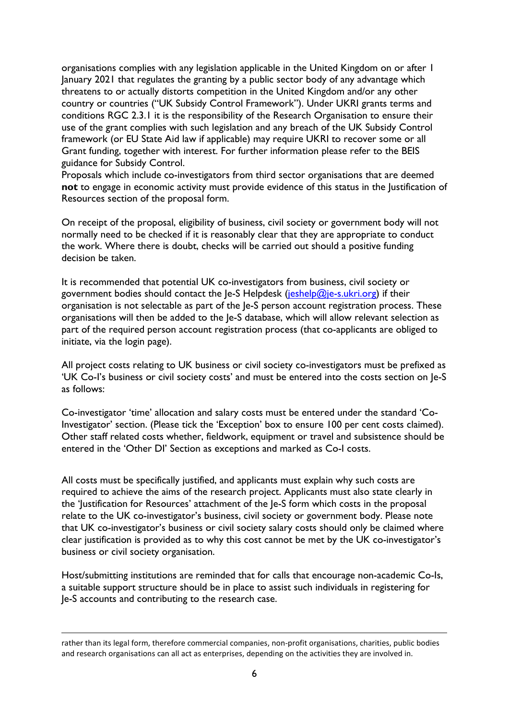organisations complies with any legislation applicable in the United Kingdom on or after 1 January 2021 that regulates the granting by a public sector body of any advantage which threatens to or actually distorts competition in the United Kingdom and/or any other country or countries ("UK Subsidy Control Framework"). Under UKRI grants terms and conditions RGC 2.3.1 it is the responsibility of the Research Organisation to ensure their use of the grant complies with such legislation and any breach of the UK Subsidy Control framework (or EU State Aid law if applicable) may require UKRI to recover some or all Grant funding, together with interest. For further information please refer to the BEIS guidance for Subsidy Control.

Proposals which include co-investigators from third sector organisations that are deemed **not** to engage in economic activity must provide evidence of this status in the Justification of Resources section of the proposal form.

On receipt of the proposal, eligibility of business, civil society or government body will not normally need to be checked if it is reasonably clear that they are appropriate to conduct the work. Where there is doubt, checks will be carried out should a positive funding decision be taken.

It is recommended that potential UK co-investigators from business, civil society or government bodies should contact the Je-S Helpdesk [\(jeshelp@je-s.ukri.org\)](mailto:jeshelp@je-s.ukri.org) if their organisation is not selectable as part of the Je-S person account registration process. These organisations will then be added to the Je-S database, which will allow relevant selection as part of the required person account registration process (that co-applicants are obliged to initiate, via the login page).

All project costs relating to UK business or civil society co-investigators must be prefixed as 'UK Co-I's business or civil society costs' and must be entered into the costs section on Je-S as follows:

Co-investigator 'time' allocation and salary costs must be entered under the standard 'Co-Investigator' section. (Please tick the 'Exception' box to ensure 100 per cent costs claimed). Other staff related costs whether, fieldwork, equipment or travel and subsistence should be entered in the 'Other DI' Section as exceptions and marked as Co-I costs.

All costs must be specifically justified, and applicants must explain why such costs are required to achieve the aims of the research project. Applicants must also state clearly in the 'Justification for Resources' attachment of the Je-S form which costs in the proposal relate to the UK co-investigator's business, civil society or government body. Please note that UK co-investigator's business or civil society salary costs should only be claimed where clear justification is provided as to why this cost cannot be met by the UK co-investigator's business or civil society organisation.

Host/submitting institutions are reminded that for calls that encourage non-academic Co-Is, a suitable support structure should be in place to assist such individuals in registering for Je-S accounts and contributing to the research case.

rather than its legal form, therefore commercial companies, non-profit organisations, charities, public bodies and research organisations can all act as enterprises, depending on the activities they are involved in.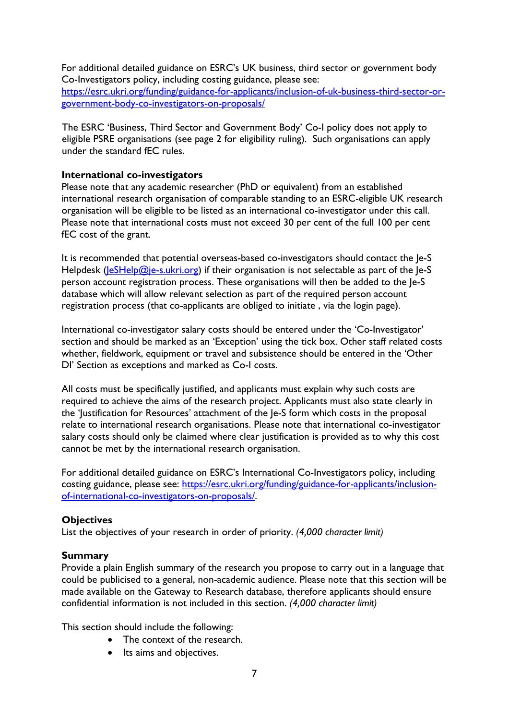For additional detailed guidance on ESRC's UK business, third sector or government body Co-Investigators policy, including costing guidance, please see: [https://esrc.ukri.org/funding/guidance-for-applicants/inclusion-of-uk-business-third-sector-or](https://esrc.ukri.org/funding/guidance-for-applicants/inclusion-of-uk-business-third-sector-or-government-body-co-investigators-on-proposals/)[government-body-co-investigators-on-proposals/](https://esrc.ukri.org/funding/guidance-for-applicants/inclusion-of-uk-business-third-sector-or-government-body-co-investigators-on-proposals/)

The ESRC 'Business, Third Sector and Government Body' Co-I policy does not apply to eligible PSRE organisations (see page 2 for eligibility ruling). Such organisations can apply under the standard fEC rules.

#### <span id="page-6-0"></span>**International co-investigators**

Please note that any academic researcher (PhD or equivalent) from an established international research organisation of comparable standing to an ESRC-eligible UK research organisation will be eligible to be listed as an international co-investigator under this call. Please note that international costs must not exceed 30 per cent of the full 100 per cent fEC cost of the grant.

It is recommended that potential overseas-based co-investigators should contact the Je-S Helpdesk ( $\left|\frac{e}{e}\right|$ elp $\left|\frac{m}{e}\right|$  = s.ukri.org) if their organisation is not selectable as part of the  $\left|e\right|$ person account registration process. These organisations will then be added to the Je-S database which will allow relevant selection as part of the required person account registration process (that co-applicants are obliged to initiate , via the login page).

International co-investigator salary costs should be entered under the 'Co-Investigator' section and should be marked as an 'Exception' using the tick box. Other staff related costs whether, fieldwork, equipment or travel and subsistence should be entered in the 'Other DI' Section as exceptions and marked as Co-I costs.

All costs must be specifically justified, and applicants must explain why such costs are required to achieve the aims of the research project. Applicants must also state clearly in the 'Justification for Resources' attachment of the Je-S form which costs in the proposal relate to international research organisations. Please note that international co-investigator salary costs should only be claimed where clear justification is provided as to why this cost cannot be met by the international research organisation.

For additional detailed guidance on ESRC's International Co-Investigators policy, including costing guidance, please see: [https://esrc.ukri.org/funding/guidance-for-applicants/inclusion](https://esrc.ukri.org/funding/guidance-for-applicants/inclusion-of-international-co-investigators-on-proposals/)[of-international-co-investigators-on-proposals/.](https://esrc.ukri.org/funding/guidance-for-applicants/inclusion-of-international-co-investigators-on-proposals/)

## <span id="page-6-1"></span>**Objectives**

List the objectives of your research in order of priority. *(4,000 character limit)*

## <span id="page-6-2"></span>**Summary**

Provide a plain English summary of the research you propose to carry out in a language that could be publicised to a general, non-academic audience. Please note that this section will be made available on the Gateway to Research database, therefore applicants should ensure confidential information is not included in this section. *(4,000 character limit)*

This section should include the following:

- The context of the research.
- Its aims and objectives.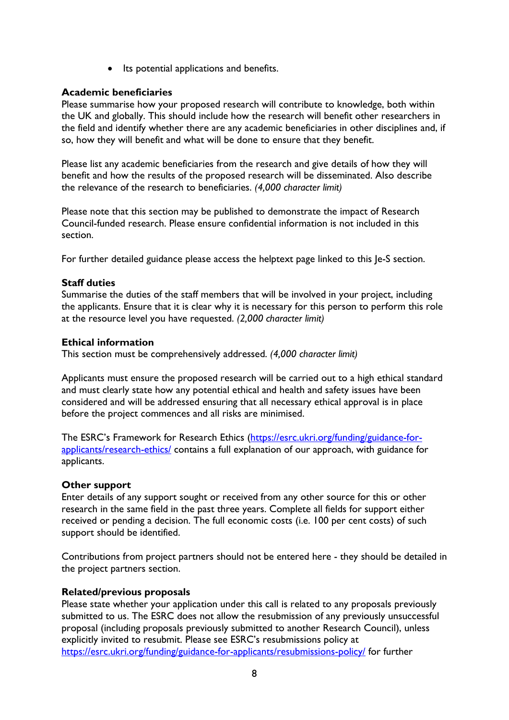• Its potential applications and benefits.

### <span id="page-7-0"></span>**Academic beneficiaries**

Please summarise how your proposed research will contribute to knowledge, both within the UK and globally. This should include how the research will benefit other researchers in the field and identify whether there are any academic beneficiaries in other disciplines and, if so, how they will benefit and what will be done to ensure that they benefit.

Please list any academic beneficiaries from the research and give details of how they will benefit and how the results of the proposed research will be disseminated. Also describe the relevance of the research to beneficiaries. *(4,000 character limit)*

Please note that this section may be published to demonstrate the impact of Research Council-funded research. Please ensure confidential information is not included in this section.

For further detailed guidance please access the helptext page linked to this Je-S section.

### <span id="page-7-1"></span>**Staff duties**

Summarise the duties of the staff members that will be involved in your project, including the applicants. Ensure that it is clear why it is necessary for this person to perform this role at the resource level you have requested. *(2,000 character limit)*

### <span id="page-7-2"></span>**Ethical information**

This section must be comprehensively addressed. *(4,000 character limit)*

Applicants must ensure the proposed research will be carried out to a high ethical standard and must clearly state how any potential ethical and health and safety issues have been considered and will be addressed ensuring that all necessary ethical approval is in place before the project commences and all risks are minimised.

The ESRC's Framework for Research Ethics [\(https://esrc.ukri.org/funding/guidance-for](https://esrc.ukri.org/funding/guidance-for-applicants/research-ethics/)[applicants/research-ethics/](https://esrc.ukri.org/funding/guidance-for-applicants/research-ethics/) contains a full explanation of our approach, with guidance for applicants.

#### <span id="page-7-3"></span>**Other support**

Enter details of any support sought or received from any other source for this or other research in the same field in the past three years. Complete all fields for support either received or pending a decision. The full economic costs (i.e. 100 per cent costs) of such support should be identified.

Contributions from project partners should not be entered here - they should be detailed in the project partners section.

#### <span id="page-7-4"></span>**Related/previous proposals**

Please state whether your application under this call is related to any proposals previously submitted to us. The ESRC does not allow the resubmission of any previously unsuccessful proposal (including proposals previously submitted to another Research Council), unless explicitly invited to resubmit. Please see ESRC's resubmissions policy at <https://esrc.ukri.org/funding/guidance-for-applicants/resubmissions-policy/> for further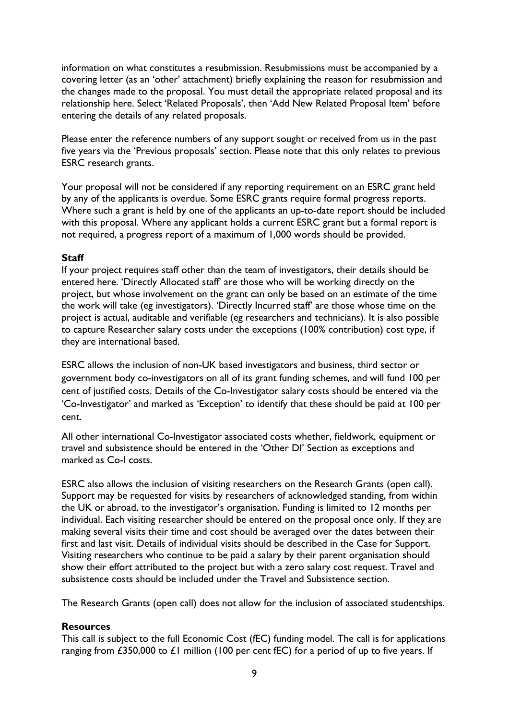information on what constitutes a resubmission. Resubmissions must be accompanied by a covering letter (as an 'other' attachment) briefly explaining the reason for resubmission and the changes made to the proposal. You must detail the appropriate related proposal and its relationship here. Select 'Related Proposals', then 'Add New Related Proposal Item' before entering the details of any related proposals.

Please enter the reference numbers of any support sought or received from us in the past five years via the 'Previous proposals' section. Please note that this only relates to previous ESRC research grants.

Your proposal will not be considered if any reporting requirement on an ESRC grant held by any of the applicants is overdue. Some ESRC grants require formal progress reports. Where such a grant is held by one of the applicants an up-to-date report should be included with this proposal. Where any applicant holds a current ESRC grant but a formal report is not required, a progress report of a maximum of 1,000 words should be provided.

#### <span id="page-8-0"></span>**Staff**

If your project requires staff other than the team of investigators, their details should be entered here. 'Directly Allocated staff' are those who will be working directly on the project, but whose involvement on the grant can only be based on an estimate of the time the work will take (eg investigators). 'Directly Incurred staff' are those whose time on the project is actual, auditable and verifiable (eg researchers and technicians). It is also possible to capture Researcher salary costs under the exceptions (100% contribution) cost type, if they are international based.

ESRC allows the inclusion of non-UK based investigators and business, third sector or government body co-investigators on all of its grant funding schemes, and will fund 100 per cent of justified costs. Details of the Co-Investigator salary costs should be entered via the 'Co-Investigator' and marked as 'Exception' to identify that these should be paid at 100 per cent.

All other international Co-Investigator associated costs whether, fieldwork, equipment or travel and subsistence should be entered in the 'Other DI' Section as exceptions and marked as Co-I costs.

ESRC also allows the inclusion of visiting researchers on the Research Grants (open call). Support may be requested for visits by researchers of acknowledged standing, from within the UK or abroad, to the investigator's organisation. Funding is limited to 12 months per individual. Each visiting researcher should be entered on the proposal once only. If they are making several visits their time and cost should be averaged over the dates between their first and last visit. Details of individual visits should be described in the Case for Support. Visiting researchers who continue to be paid a salary by their parent organisation should show their effort attributed to the project but with a zero salary cost request. Travel and subsistence costs should be included under the Travel and Subsistence section.

The Research Grants (open call) does not allow for the inclusion of associated studentships.

## <span id="page-8-1"></span>**Resources**

This call is subject to the full Economic Cost (fEC) funding model. The call is for applications ranging from  $£350,000$  to  $£1$  million (100 per cent fEC) for a period of up to five years. If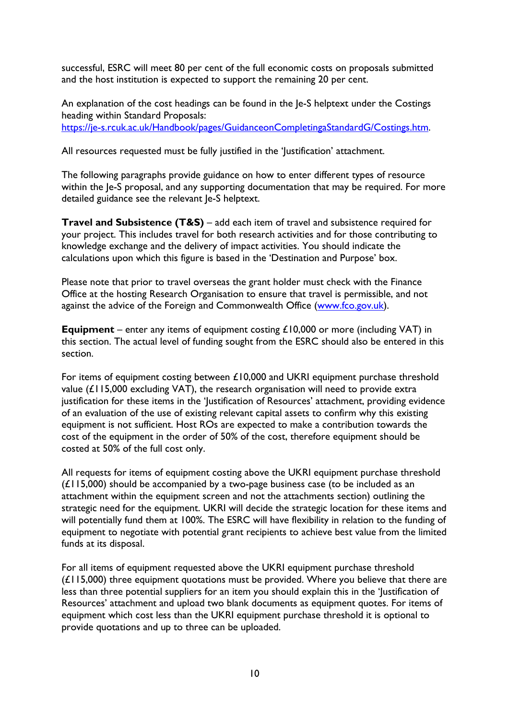successful, ESRC will meet 80 per cent of the full economic costs on proposals submitted and the host institution is expected to support the remaining 20 per cent.

An explanation of the cost headings can be found in the Je-S helptext under the Costings heading within Standard Proposals: [https://je-s.rcuk.ac.uk/Handbook/pages/GuidanceonCompletingaStandardG/Costings.htm.](https://je-s.rcuk.ac.uk/Handbook/pages/GuidanceonCompletingaStandardG/Costings.htm)

All resources requested must be fully justified in the 'Justification' attachment.

The following paragraphs provide guidance on how to enter different types of resource within the Je-S proposal, and any supporting documentation that may be required. For more detailed guidance see the relevant Je-S helptext.

**Travel and Subsistence (T&S)** – add each item of travel and subsistence required for your project. This includes travel for both research activities and for those contributing to knowledge exchange and the delivery of impact activities. You should indicate the calculations upon which this figure is based in the 'Destination and Purpose' box.

Please note that prior to travel overseas the grant holder must check with the Finance Office at the hosting Research Organisation to ensure that travel is permissible, and not against the advice of the Foreign and Commonwealth Office [\(www.fco.gov.uk\)](http://www.fco.gov.uk/).

**Equipment** – enter any items of equipment costing £10,000 or more (including VAT) in this section. The actual level of funding sought from the ESRC should also be entered in this section.

For items of equipment costing between £10,000 and UKRI equipment purchase threshold value  $(L115,000$  excluding VAT), the research organisation will need to provide extra justification for these items in the 'Justification of Resources' attachment, providing evidence of an evaluation of the use of existing relevant capital assets to confirm why this existing equipment is not sufficient. Host ROs are expected to make a contribution towards the cost of the equipment in the order of 50% of the cost, therefore equipment should be costed at 50% of the full cost only.

All requests for items of equipment costing above the UKRI equipment purchase threshold (£115,000) should be accompanied by a two-page business case (to be included as an attachment within the equipment screen and not the attachments section) outlining the strategic need for the equipment. UKRI will decide the strategic location for these items and will potentially fund them at 100%. The ESRC will have flexibility in relation to the funding of equipment to negotiate with potential grant recipients to achieve best value from the limited funds at its disposal.

For all items of equipment requested above the UKRI equipment purchase threshold  $(E115,000)$  three equipment quotations must be provided. Where you believe that there are less than three potential suppliers for an item you should explain this in the 'Justification of Resources' attachment and upload two blank documents as equipment quotes. For items of equipment which cost less than the UKRI equipment purchase threshold it is optional to provide quotations and up to three can be uploaded.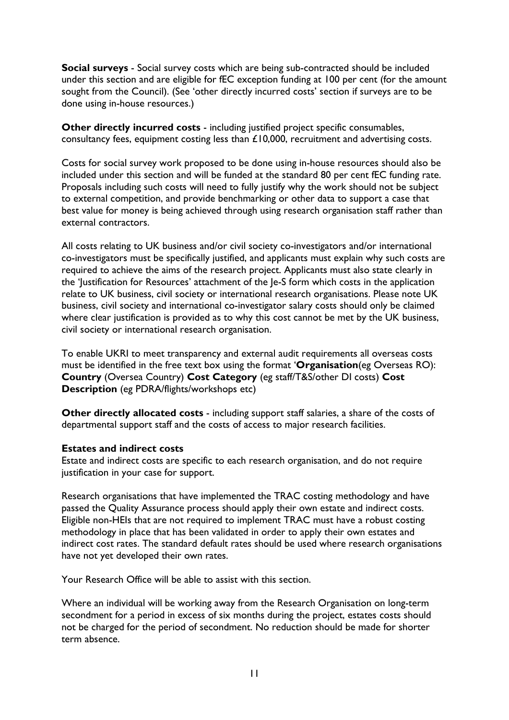**Social surveys** - Social survey costs which are being sub-contracted should be included under this section and are eligible for fEC exception funding at 100 per cent (for the amount sought from the Council). (See 'other directly incurred costs' section if surveys are to be done using in-house resources.)

**Other directly incurred costs** - including justified project specific consumables, consultancy fees, equipment costing less than £10,000, recruitment and advertising costs.

Costs for social survey work proposed to be done using in-house resources should also be included under this section and will be funded at the standard 80 per cent fEC funding rate. Proposals including such costs will need to fully justify why the work should not be subject to external competition, and provide benchmarking or other data to support a case that best value for money is being achieved through using research organisation staff rather than external contractors.

All costs relating to UK business and/or civil society co-investigators and/or international co-investigators must be specifically justified, and applicants must explain why such costs are required to achieve the aims of the research project. Applicants must also state clearly in the 'Justification for Resources' attachment of the Je-S form which costs in the application relate to UK business, civil society or international research organisations. Please note UK business, civil society and international co-investigator salary costs should only be claimed where clear justification is provided as to why this cost cannot be met by the UK business, civil society or international research organisation.

To enable UKRI to meet transparency and external audit requirements all overseas costs must be identified in the free text box using the format '**Organisation**(eg Overseas RO): **Country** (Oversea Country) **Cost Category** (eg staff/T&S/other DI costs) **Cost Description** (eg PDRA/flights/workshops etc)

**Other directly allocated costs** - including support staff salaries, a share of the costs of departmental support staff and the costs of access to major research facilities.

#### <span id="page-10-0"></span>**Estates and indirect costs**

Estate and indirect costs are specific to each research organisation, and do not require justification in your case for support.

Research organisations that have implemented the TRAC costing methodology and have passed the Quality Assurance process should apply their own estate and indirect costs. Eligible non-HEIs that are not required to implement TRAC must have a robust costing methodology in place that has been validated in order to apply their own estates and indirect cost rates. The standard default rates should be used where research organisations have not yet developed their own rates.

Your Research Office will be able to assist with this section.

Where an individual will be working away from the Research Organisation on long-term secondment for a period in excess of six months during the project, estates costs should not be charged for the period of secondment. No reduction should be made for shorter term absence.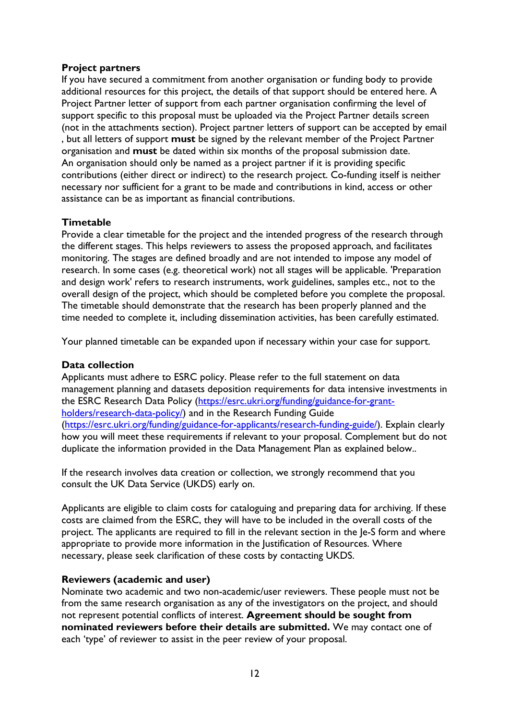## <span id="page-11-0"></span>**Project partners**

If you have secured a commitment from another organisation or funding body to provide additional resources for this project, the details of that support should be entered here. A Project Partner letter of support from each partner organisation confirming the level of support specific to this proposal must be uploaded via the Project Partner details screen (not in the attachments section). Project partner letters of support can be accepted by email , but all letters of support **must** be signed by the relevant member of the Project Partner organisation and **must** be dated within six months of the proposal submission date. An organisation should only be named as a project partner if it is providing specific contributions (either direct or indirect) to the research project. Co-funding itself is neither necessary nor sufficient for a grant to be made and contributions in kind, access or other assistance can be as important as financial contributions.

## <span id="page-11-1"></span>**Timetable**

Provide a clear timetable for the project and the intended progress of the research through the different stages. This helps reviewers to assess the proposed approach, and facilitates monitoring. The stages are defined broadly and are not intended to impose any model of research. In some cases (e.g. theoretical work) not all stages will be applicable. 'Preparation and design work' refers to research instruments, work guidelines, samples etc., not to the overall design of the project, which should be completed before you complete the proposal. The timetable should demonstrate that the research has been properly planned and the time needed to complete it, including dissemination activities, has been carefully estimated.

Your planned timetable can be expanded upon if necessary within your case for support.

## <span id="page-11-2"></span>**Data collection**

Applicants must adhere to ESRC policy. Please refer to the full statement on data management planning and datasets deposition requirements for data intensive investments in the ESRC Research Data Policy [\(https://esrc.ukri.org/funding/guidance-for-grant](https://esrc.ukri.org/funding/guidance-for-grant-holders/research-data-policy/)[holders/research-data-policy/\)](https://esrc.ukri.org/funding/guidance-for-grant-holders/research-data-policy/) and in the Research Funding Guide [\(https://esrc.ukri.org/funding/guidance-for-applicants/research-funding-guide/\)](https://esrc.ukri.org/funding/guidance-for-applicants/research-funding-guide/). Explain clearly how you will meet these requirements if relevant to your proposal. Complement but do not duplicate the information provided in the Data Management Plan as explained below..

If the research involves data creation or collection, we strongly recommend that you consult the UK Data Service (UKDS) early on.

Applicants are eligible to claim costs for cataloguing and preparing data for archiving. If these costs are claimed from the ESRC, they will have to be included in the overall costs of the project. The applicants are required to fill in the relevant section in the Je-S form and where appropriate to provide more information in the Justification of Resources. Where necessary, please seek clarification of these costs by contacting UKDS.

## <span id="page-11-3"></span>**Reviewers (academic and user)**

Nominate two academic and two non-academic/user reviewers. These people must not be from the same research organisation as any of the investigators on the project, and should not represent potential conflicts of interest. **Agreement should be sought from nominated reviewers before their details are submitted.** We may contact one of each 'type' of reviewer to assist in the peer review of your proposal.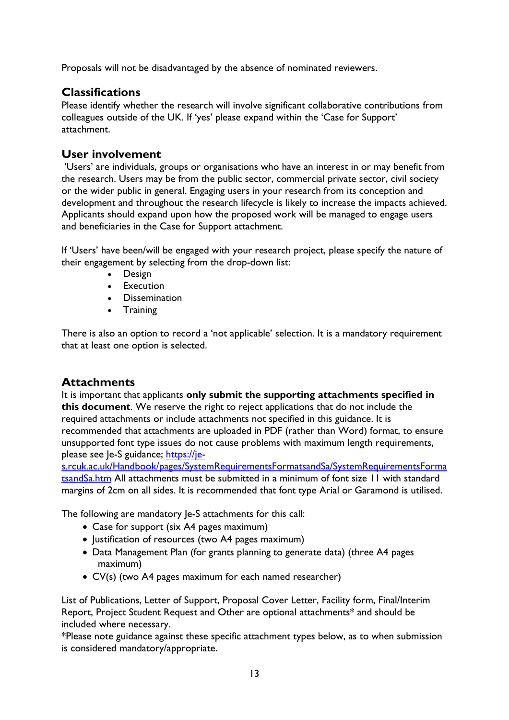Proposals will not be disadvantaged by the absence of nominated reviewers.

# <span id="page-12-0"></span>**Classifications**

Please identify whether the research will involve significant collaborative contributions from colleagues outside of the UK. If 'yes' please expand within the 'Case for Support' attachment.

# <span id="page-12-1"></span>**User involvement**

'Users' are individuals, groups or organisations who have an interest in or may benefit from the research. Users may be from the public sector, commercial private sector, civil society or the wider public in general. Engaging users in your research from its conception and development and throughout the research lifecycle is likely to increase the impacts achieved. Applicants should expand upon how the proposed work will be managed to engage users and beneficiaries in the Case for Support attachment.

If 'Users' have been/will be engaged with your research project, please specify the nature of their engagement by selecting from the drop-down list:

- Design
- Execution
- Dissemination
- Training

There is also an option to record a 'not applicable' selection. It is a mandatory requirement that at least one option is selected.

# <span id="page-12-2"></span>**Attachments**

It is important that applicants **only submit the supporting attachments specified in this document**. We reserve the right to reject applications that do not include the required attachments or include attachments not specified in this guidance. It is recommended that attachments are uploaded in PDF (rather than Word) format, to ensure unsupported font type issues do not cause problems with maximum length requirements, please see Je-S guidance; [https://je-](https://je-s.rcuk.ac.uk/Handbook/pages/SystemRequirementsFormatsandSa/SystemRequirementsFormatsandSa.htm)

[s.rcuk.ac.uk/Handbook/pages/SystemRequirementsFormatsandSa/SystemRequirementsForma](https://je-s.rcuk.ac.uk/Handbook/pages/SystemRequirementsFormatsandSa/SystemRequirementsFormatsandSa.htm) [tsandSa.htm](https://je-s.rcuk.ac.uk/Handbook/pages/SystemRequirementsFormatsandSa/SystemRequirementsFormatsandSa.htm) All attachments must be submitted in a minimum of font size 11 with standard margins of 2cm on all sides. It is recommended that font type Arial or Garamond is utilised.

The following are mandatory Je-S attachments for this call:

- Case for support (six A4 pages maximum)
- Justification of resources (two A4 pages maximum)
- Data Management Plan (for grants planning to generate data) (three A4 pages maximum)
- CV(s) (two A4 pages maximum for each named researcher)

List of Publications, Letter of Support, Proposal Cover Letter, Facility form, Final/Interim Report, Project Student Request and Other are optional attachments\* and should be included where necessary.

\*Please note guidance against these specific attachment types below, as to when submission is considered mandatory/appropriate.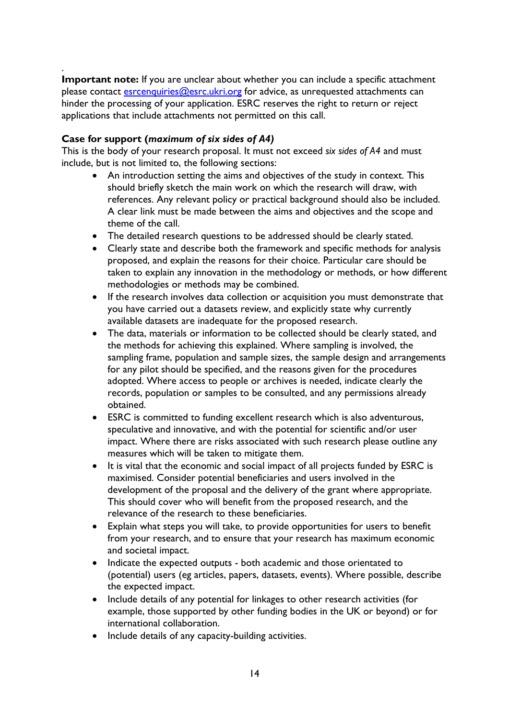. **Important note:** If you are unclear about whether you can include a specific attachment please contact [esrcenquiries@esrc.ukri.org](mailto:esrcenquiries@esrc.ukri.org) for advice, as unrequested attachments can hinder the processing of your application. ESRC reserves the right to return or reject applications that include attachments not permitted on this call.

## <span id="page-13-0"></span>**Case for support (***maximum of six sides of A4)*

This is the body of your research proposal. It must not exceed *six sides of A4* and must include, but is not limited to, the following sections:

- An introduction setting the aims and objectives of the study in context. This should briefly sketch the main work on which the research will draw, with references. Any relevant policy or practical background should also be included. A clear link must be made between the aims and objectives and the scope and theme of the call.
- The detailed research questions to be addressed should be clearly stated.
- Clearly state and describe both the framework and specific methods for analysis proposed, and explain the reasons for their choice. Particular care should be taken to explain any innovation in the methodology or methods, or how different methodologies or methods may be combined.
- If the research involves data collection or acquisition you must demonstrate that you have carried out a datasets review, and explicitly state why currently available datasets are inadequate for the proposed research.
- The data, materials or information to be collected should be clearly stated, and the methods for achieving this explained. Where sampling is involved, the sampling frame, population and sample sizes, the sample design and arrangements for any pilot should be specified, and the reasons given for the procedures adopted. Where access to people or archives is needed, indicate clearly the records, population or samples to be consulted, and any permissions already obtained.
- ESRC is committed to funding excellent research which is also adventurous, speculative and innovative, and with the potential for scientific and/or user impact. Where there are risks associated with such research please outline any measures which will be taken to mitigate them.
- It is vital that the economic and social impact of all projects funded by ESRC is maximised. Consider potential beneficiaries and users involved in the development of the proposal and the delivery of the grant where appropriate. This should cover who will benefit from the proposed research, and the relevance of the research to these beneficiaries.
- Explain what steps you will take, to provide opportunities for users to benefit from your research, and to ensure that your research has maximum economic and societal impact.
- Indicate the expected outputs both academic and those orientated to (potential) users (eg articles, papers, datasets, events). Where possible, describe the expected impact.
- Include details of any potential for linkages to other research activities (for example, those supported by other funding bodies in the UK or beyond) or for international collaboration.
- Include details of any capacity-building activities.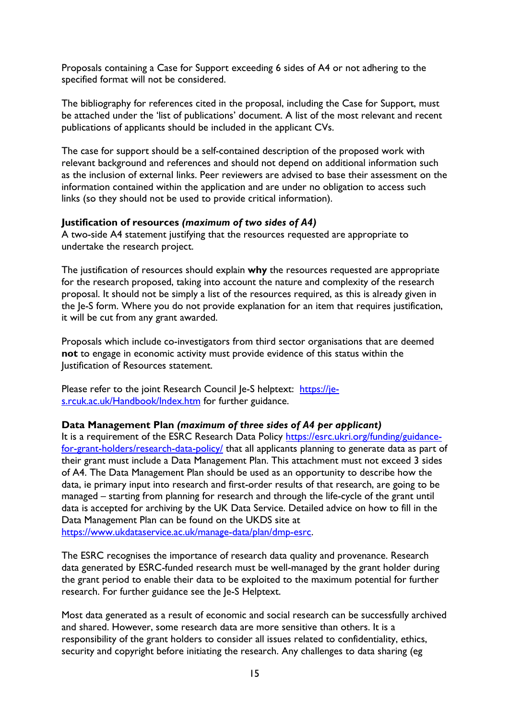Proposals containing a Case for Support exceeding 6 sides of A4 or not adhering to the specified format will not be considered.

The bibliography for references cited in the proposal, including the Case for Support, must be attached under the 'list of publications' document. A list of the most relevant and recent publications of applicants should be included in the applicant CVs.

The case for support should be a self-contained description of the proposed work with relevant background and references and should not depend on additional information such as the inclusion of external links. Peer reviewers are advised to base their assessment on the information contained within the application and are under no obligation to access such links (so they should not be used to provide critical information).

### <span id="page-14-0"></span>**Justification of resources** *(maximum of two sides of A4)*

A two-side A4 statement justifying that the resources requested are appropriate to undertake the research project.

The justification of resources should explain **why** the resources requested are appropriate for the research proposed, taking into account the nature and complexity of the research proposal. It should not be simply a list of the resources required, as this is already given in the Je-S form. Where you do not provide explanation for an item that requires justification, it will be cut from any grant awarded.

Proposals which include co-investigators from third sector organisations that are deemed **not** to engage in economic activity must provide evidence of this status within the Justification of Resources statement.

Please refer to the joint Research Council Je-S helptext: [https://je](https://je-s.rcuk.ac.uk/Handbook/Index.htm)[s.rcuk.ac.uk/Handbook/Index.htm](https://je-s.rcuk.ac.uk/Handbook/Index.htm) for further guidance.

#### <span id="page-14-1"></span>**Data Management Plan** *(maximum of three sides of A4 per applicant)*

It is a requirement of the ESRC Research Data Policy [https://esrc.ukri.org/funding/guidance](https://esrc.ukri.org/funding/guidance-for-grant-holders/research-data-policy/)[for-grant-holders/research-data-policy/](https://esrc.ukri.org/funding/guidance-for-grant-holders/research-data-policy/) that all applicants planning to generate data as part of their grant must include a Data Management Plan. This attachment must not exceed 3 sides of A4. The Data Management Plan should be used as an opportunity to describe how the data, ie primary input into research and first-order results of that research, are going to be managed – starting from planning for research and through the life-cycle of the grant until data is accepted for archiving by the UK Data Service. Detailed advice on how to fill in the Data Management Plan can be found on the UKDS site at [https://www.ukdataservice.ac.uk/manage-data/plan/dmp-esrc.](https://www.ukdataservice.ac.uk/manage-data/plan/dmp-esrc)

The ESRC recognises the importance of research data quality and provenance. Research data generated by ESRC-funded research must be well-managed by the grant holder during the grant period to enable their data to be exploited to the maximum potential for further research. For further guidance see the Je-S Helptext.

Most data generated as a result of economic and social research can be successfully archived and shared. However, some research data are more sensitive than others. It is a responsibility of the grant holders to consider all issues related to confidentiality, ethics, security and copyright before initiating the research. Any challenges to data sharing (eg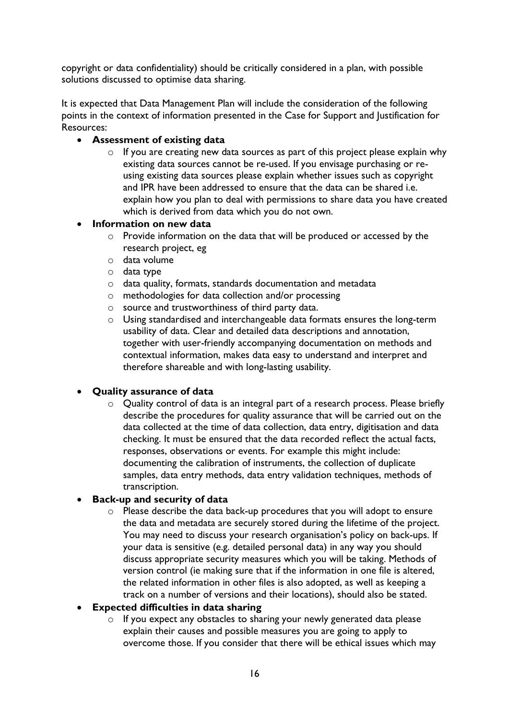copyright or data confidentiality) should be critically considered in a plan, with possible solutions discussed to optimise data sharing.

It is expected that Data Management Plan will include the consideration of the following points in the context of information presented in the Case for Support and Justification for Resources:

## • **Assessment of existing data**

o If you are creating new data sources as part of this project please explain why existing data sources cannot be re-used. If you envisage purchasing or reusing existing data sources please explain whether issues such as copyright and IPR have been addressed to ensure that the data can be shared i.e. explain how you plan to deal with permissions to share data you have created which is derived from data which you do not own.

## • **Information on new data**

- o Provide information on the data that will be produced or accessed by the research project, eg
- o data volume
- o data type
- o data quality, formats, standards documentation and metadata
- o methodologies for data collection and/or processing
- o source and trustworthiness of third party data.
- o Using standardised and interchangeable data formats ensures the long-term usability of data. Clear and detailed data descriptions and annotation, together with user-friendly accompanying documentation on methods and contextual information, makes data easy to understand and interpret and therefore shareable and with long-lasting usability.

## • **Quality assurance of data**

o Quality control of data is an integral part of a research process. Please briefly describe the procedures for quality assurance that will be carried out on the data collected at the time of data collection, data entry, digitisation and data checking. It must be ensured that the data recorded reflect the actual facts, responses, observations or events. For example this might include: documenting the calibration of instruments, the collection of duplicate samples, data entry methods, data entry validation techniques, methods of transcription.

## • **Back-up and security of data**

o Please describe the data back-up procedures that you will adopt to ensure the data and metadata are securely stored during the lifetime of the project. You may need to discuss your research organisation's policy on back-ups. If your data is sensitive (e.g. detailed personal data) in any way you should discuss appropriate security measures which you will be taking. Methods of version control (ie making sure that if the information in one file is altered, the related information in other files is also adopted, as well as keeping a track on a number of versions and their locations), should also be stated.

## • **Expected difficulties in data sharing**

o If you expect any obstacles to sharing your newly generated data please explain their causes and possible measures you are going to apply to overcome those. If you consider that there will be ethical issues which may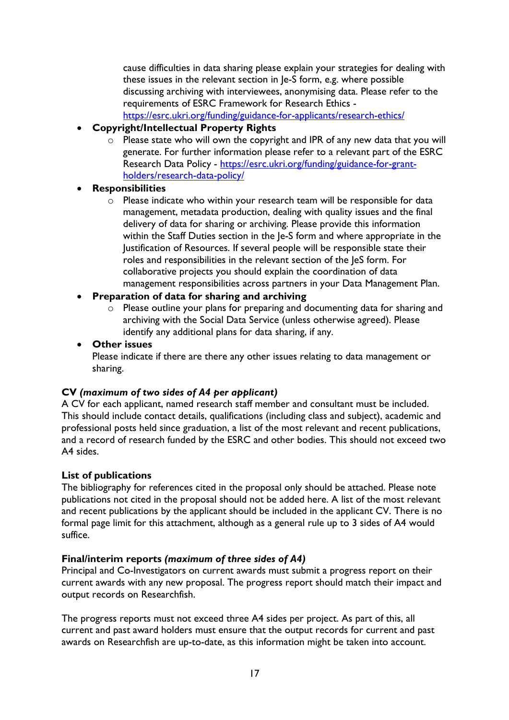cause difficulties in data sharing please explain your strategies for dealing with these issues in the relevant section in Je-S form, e.g. where possible discussing archiving with interviewees, anonymising data. Please refer to the requirements of ESRC Framework for Research Ethics <https://esrc.ukri.org/funding/guidance-for-applicants/research-ethics/>

- **Copyright/Intellectual Property Rights**
	- o Please state who will own the copyright and IPR of any new data that you will generate. For further information please refer to a relevant part of the ESRC Research Data Policy - [https://esrc.ukri.org/funding/guidance-for-grant](https://esrc.ukri.org/funding/guidance-for-grant-holders/research-data-policy/)[holders/research-data-policy/](https://esrc.ukri.org/funding/guidance-for-grant-holders/research-data-policy/)

## • **Responsibilities**

o Please indicate who within your research team will be responsible for data management, metadata production, dealing with quality issues and the final delivery of data for sharing or archiving. Please provide this information within the Staff Duties section in the Je-S form and where appropriate in the Justification of Resources. If several people will be responsible state their roles and responsibilities in the relevant section of the JeS form. For collaborative projects you should explain the coordination of data management responsibilities across partners in your Data Management Plan.

## • **Preparation of data for sharing and archiving**

o Please outline your plans for preparing and documenting data for sharing and archiving with the Social Data Service (unless otherwise agreed). Please identify any additional plans for data sharing, if any.

## • **Other issues**

Please indicate if there are there any other issues relating to data management or sharing.

## <span id="page-16-0"></span>**CV** *(maximum of two sides of A4 per applicant)*

A CV for each applicant, named research staff member and consultant must be included. This should include contact details, qualifications (including class and subject), academic and professional posts held since graduation, a list of the most relevant and recent publications, and a record of research funded by the ESRC and other bodies. This should not exceed two A4 sides.

## <span id="page-16-1"></span>**List of publications**

The bibliography for references cited in the proposal only should be attached. Please note publications not cited in the proposal should not be added here. A list of the most relevant and recent publications by the applicant should be included in the applicant CV. There is no formal page limit for this attachment, although as a general rule up to 3 sides of A4 would suffice.

## <span id="page-16-2"></span>**Final/interim reports** *(maximum of three sides of A4)*

Principal and Co-Investigators on current awards must submit a progress report on their current awards with any new proposal. The progress report should match their impact and output records on Researchfish.

The progress reports must not exceed three A4 sides per project. As part of this, all current and past award holders must ensure that the output records for current and past awards on Researchfish are up-to-date, as this information might be taken into account.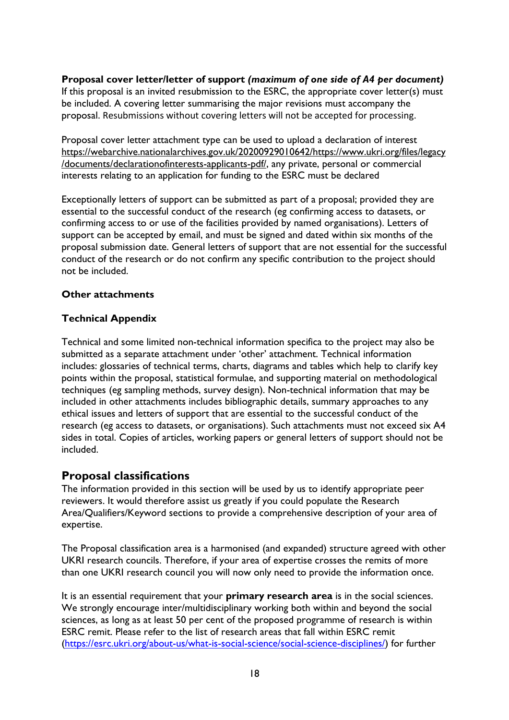<span id="page-17-0"></span>**Proposal cover letter/letter of support** *(maximum of one side of A4 per document)* If this proposal is an invited resubmission to the ESRC, the appropriate cover letter(s) must be included. A covering letter summarising the major revisions must accompany the proposal. Resubmissions without covering letters will not be accepted for processing.

Proposal cover letter attachment type can be used to upload a declaration of interest [https://webarchive.nationalarchives.gov.uk/20200929010642/https://www.ukri.org/files/legacy](https://eur01.safelinks.protection.outlook.com/?url=https%3A%2F%2Fwebarchive.nationalarchives.gov.uk%2F20200929010642%2Fhttps%3A%2Fwww.ukri.org%2Ffiles%2Flegacy%2Fdocuments%2Fdeclarationofinterests-applicants-pdf%2F&data=04%7C01%7CJulian.Style%40esrc.ukri.org%7Cfa4eda9777214479056c08d88be3defa%7C2dcfd016f9df488cb16b68345b59afb7%7C0%7C0%7C637413158094663635%7CUnknown%7CTWFpbGZsb3d8eyJWIjoiMC4wLjAwMDAiLCJQIjoiV2luMzIiLCJBTiI6Ik1haWwiLCJXVCI6Mn0%3D%7C1000&sdata=8o%2B7HrekVY734FFX2cE4ixxZFPJ71UKWBjm%2F%2BcX74fs%3D&reserved=0) [/documents/declarationofinterests-applicants-pdf/,](https://eur01.safelinks.protection.outlook.com/?url=https%3A%2F%2Fwebarchive.nationalarchives.gov.uk%2F20200929010642%2Fhttps%3A%2Fwww.ukri.org%2Ffiles%2Flegacy%2Fdocuments%2Fdeclarationofinterests-applicants-pdf%2F&data=04%7C01%7CJulian.Style%40esrc.ukri.org%7Cfa4eda9777214479056c08d88be3defa%7C2dcfd016f9df488cb16b68345b59afb7%7C0%7C0%7C637413158094663635%7CUnknown%7CTWFpbGZsb3d8eyJWIjoiMC4wLjAwMDAiLCJQIjoiV2luMzIiLCJBTiI6Ik1haWwiLCJXVCI6Mn0%3D%7C1000&sdata=8o%2B7HrekVY734FFX2cE4ixxZFPJ71UKWBjm%2F%2BcX74fs%3D&reserved=0) any private, personal or commercial interests relating to an application for funding to the ESRC must be declared

Exceptionally letters of support can be submitted as part of a proposal; provided they are essential to the successful conduct of the research (eg confirming access to datasets, or confirming access to or use of the facilities provided by named organisations). Letters of support can be accepted by email, and must be signed and dated within six months of the proposal submission date. General letters of support that are not essential for the successful conduct of the research or do not confirm any specific contribution to the project should not be included.

## <span id="page-17-1"></span>**Other attachments**

## **Technical Appendix**

Technical and some limited non-technical information specifica to the project may also be submitted as a separate attachment under 'other' attachment. Technical information includes: glossaries of technical terms, charts, diagrams and tables which help to clarify key points within the proposal, statistical formulae, and supporting material on methodological techniques (eg sampling methods, survey design). Non-technical information that may be included in other attachments includes bibliographic details, summary approaches to any ethical issues and letters of support that are essential to the successful conduct of the research (eg access to datasets, or organisations). Such attachments must not exceed six A4 sides in total. Copies of articles, working papers or general letters of support should not be included.

# <span id="page-17-2"></span>**Proposal classifications**

The information provided in this section will be used by us to identify appropriate peer reviewers. It would therefore assist us greatly if you could populate the Research Area/Qualifiers/Keyword sections to provide a comprehensive description of your area of expertise.

The Proposal classification area is a harmonised (and expanded) structure agreed with other UKRI research councils. Therefore, if your area of expertise crosses the remits of more than one UKRI research council you will now only need to provide the information once.

It is an essential requirement that your **primary research area** is in the social sciences. We strongly encourage inter/multidisciplinary working both within and beyond the social sciences, as long as at least 50 per cent of the proposed programme of research is within ESRC remit. Please refer to the list of research areas that fall within ESRC remit [\(https://esrc.ukri.org/about-us/what-is-social-science/social-science-disciplines/\)](https://esrc.ukri.org/about-us/what-is-social-science/social-science-disciplines/) for further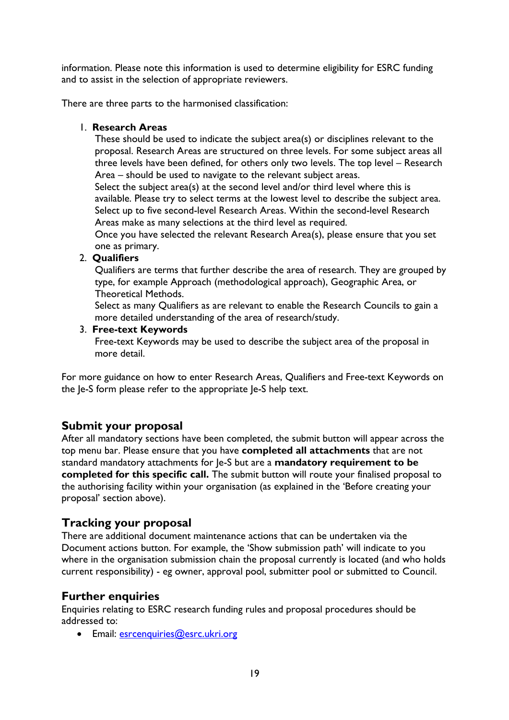information. Please note this information is used to determine eligibility for ESRC funding and to assist in the selection of appropriate reviewers.

There are three parts to the harmonised classification:

## 1. **Research Areas**

These should be used to indicate the subject area(s) or disciplines relevant to the proposal. Research Areas are structured on three levels. For some subject areas all three levels have been defined, for others only two levels. The top level – Research Area – should be used to navigate to the relevant subject areas.

Select the subject area(s) at the second level and/or third level where this is available. Please try to select terms at the lowest level to describe the subject area. Select up to five second-level Research Areas. Within the second-level Research Areas make as many selections at the third level as required.

Once you have selected the relevant Research Area(s), please ensure that you set one as primary.

## 2. **Qualifiers**

Qualifiers are terms that further describe the area of research. They are grouped by type, for example Approach (methodological approach), Geographic Area, or Theoretical Methods.

Select as many Qualifiers as are relevant to enable the Research Councils to gain a more detailed understanding of the area of research/study.

## 3. **Free-text Keywords**

Free-text Keywords may be used to describe the subject area of the proposal in more detail.

For more guidance on how to enter Research Areas, Qualifiers and Free-text Keywords on the Je-S form please refer to the appropriate Je-S help text.

# <span id="page-18-0"></span>**Submit your proposal**

After all mandatory sections have been completed, the submit button will appear across the top menu bar. Please ensure that you have **completed all attachments** that are not standard mandatory attachments for Je-S but are a **mandatory requirement to be completed for this specific call.** The submit button will route your finalised proposal to the authorising facility within your organisation (as explained in the 'Before creating your proposal' section above).

# <span id="page-18-1"></span>**Tracking your proposal**

There are additional document maintenance actions that can be undertaken via the Document actions button. For example, the 'Show submission path' will indicate to you where in the organisation submission chain the proposal currently is located (and who holds current responsibility) - eg owner, approval pool, submitter pool or submitted to Council.

# <span id="page-18-2"></span>**Further enquiries**

Enquiries relating to ESRC research funding rules and proposal procedures should be addressed to:

• Email: [esrcenquiries@esrc.ukri.org](mailto:esrcenquiries@esrc.ukri.org)